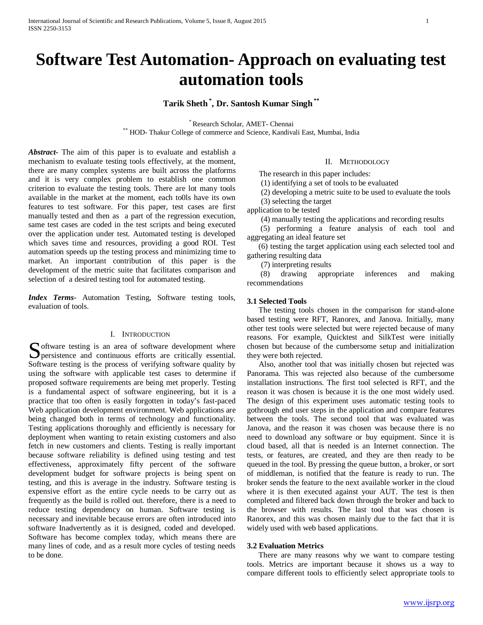# **Software Test Automation- Approach on evaluating test automation tools**

# **Tarik Sheth \* , Dr. Santosh Kumar Singh \*\***

\* Research Scholar, AMET- Chennai \*\* HOD- Thakur College of commerce and Science, Kandivali East, Mumbai, India

*Abstract***-** The aim of this paper is to evaluate and establish a mechanism to evaluate testing tools effectively, at the moment, there are many complex systems are built across the platforms and it is very complex problem to establish one common criterion to evaluate the testing tools. There are lot many tools available in the market at the moment, each to0ls have its own features to test software. For this paper, test cases are first manually tested and then as a part of the regression execution, same test cases are coded in the test scripts and being executed over the application under test. Automated testing is developed which saves time and resources, providing a good ROI. Test automation speeds up the testing process and minimizing time to market. An important contribution of this paper is the development of the metric suite that facilitates comparison and selection of a desired testing tool for automated testing.

*Index Terms*- Automation Testing, Software testing tools, evaluation of tools.

## I. INTRODUCTION

oftware testing is an area of software development where Software testing is an area of software development where<br>
Software and continuous efforts are critically essential. Software testing is the process of verifying software quality by using the software with applicable test cases to determine if proposed software requirements are being met properly. Testing is a fundamental aspect of software engineering, but it is a practice that too often is easily forgotten in today's fast-paced Web application development environment. Web applications are being changed both in terms of technology and functionality. Testing applications thoroughly and efficiently is necessary for deployment when wanting to retain existing customers and also fetch in new customers and clients. Testing is really important because software reliability is defined using testing and test effectiveness, approximately fifty percent of the software development budget for software projects is being spent on testing, and this is average in the industry. Software testing is expensive effort as the entire cycle needs to be carry out as frequently as the build is rolled out. therefore, there is a need to reduce testing dependency on human. Software testing is necessary and inevitable because errors are often introduced into software Inadvertently as it is designed, coded and developed. Software has become complex today, which means there are many lines of code, and as a result more cycles of testing needs to be done.

## II. METHODOLOGY

The research in this paper includes:

(1) identifying a set of tools to be evaluated

(2) developing a metric suite to be used to evaluate the tools

(3) selecting the target

application to be tested

(4) manually testing the applications and recording results

 (5) performing a feature analysis of each tool and aggregating an ideal feature set

 (6) testing the target application using each selected tool and gathering resulting data

(7) interpreting results

 (8) drawing appropriate inferences and making recommendations

### **3.1 Selected Tools**

 The testing tools chosen in the comparison for stand-alone based testing were RFT, Ranorex, and Janova. Initially, many other test tools were selected but were rejected because of many reasons. For example, Quicktest and SilkTest were initially chosen but because of the cumbersome setup and initialization they were both rejected.

 Also, another tool that was initially chosen but rejected was Panorama. This was rejected also because of the cumbersome installation instructions. The first tool selected is RFT, and the reason it was chosen is because it is the one most widely used. The design of this experiment uses automatic testing tools to gothrough end user steps in the application and compare features between the tools. The second tool that was evaluated was Janova, and the reason it was chosen was because there is no need to download any software or buy equipment. Since it is cloud based, all that is needed is an Internet connection. The tests, or features, are created, and they are then ready to be queued in the tool. By pressing the queue button, a broker, or sort of middleman, is notified that the feature is ready to run. The broker sends the feature to the next available worker in the cloud where it is then executed against your AUT. The test is then completed and filtered back down through the broker and back to the browser with results. The last tool that was chosen is Ranorex, and this was chosen mainly due to the fact that it is widely used with web based applications.

## **3.2 Evaluation Metrics**

 There are many reasons why we want to compare testing tools. Metrics are important because it shows us a way to compare different tools to efficiently select appropriate tools to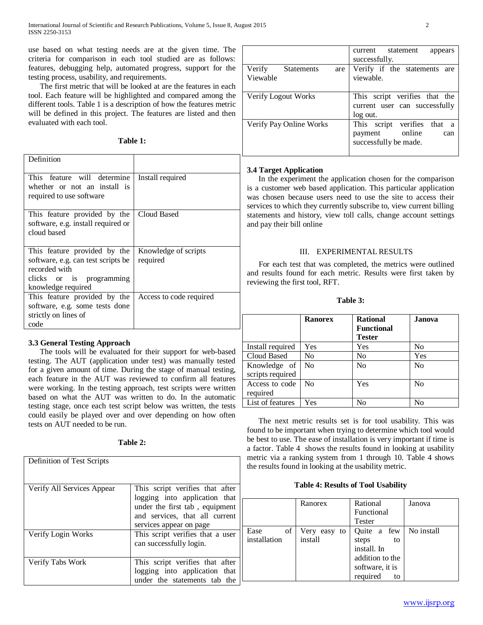use based on what testing needs are at the given time. The criteria for comparison in each tool studied are as follows: features, debugging help, automated progress, support for the testing process, usability, and requirements.

 The first metric that will be looked at are the features in each tool. Each feature will be highlighted and compared among the different tools. Table 1 is a description of how the features metric will be defined in this project. The features are listed and then evaluated with each tool.

**Table 1:**

| Definition                                                                                                                            |                                  |
|---------------------------------------------------------------------------------------------------------------------------------------|----------------------------------|
| This feature will determine<br>whether or not an install is<br>required to use software                                               | Install required                 |
| This feature provided by the<br>software, e.g. install required or<br>cloud based                                                     | Cloud Based                      |
| This feature provided by the<br>software, e.g. can test scripts be<br>recorded with<br>clicks or is programming<br>knowledge required | Knowledge of scripts<br>required |
| This feature provided by the<br>software, e.g. some tests done<br>strictly on lines of<br>code                                        | Access to code required          |

# **3.3 General Testing Approach**

 The tools will be evaluated for their support for web-based testing. The AUT (application under test) was manually tested for a given amount of time. During the stage of manual testing, each feature in the AUT was reviewed to confirm all features were working. In the testing approach, test scripts were written based on what the AUT was written to do. In the automatic testing stage, once each test script below was written, the tests could easily be played over and over depending on how often tests on AUT needed to be run.

**Table 2:**

| Definition of Test Scripts |                                                                                                                                                                 |
|----------------------------|-----------------------------------------------------------------------------------------------------------------------------------------------------------------|
| Verify All Services Appear | This script verifies that after<br>logging into application that<br>under the first tab, equipment<br>and services, that all current<br>services appear on page |
| Verify Login Works         | This script verifies that a user<br>can successfully login.                                                                                                     |
| Verify Tabs Work           | This script verifies that after<br>logging into application that<br>under the statements tab the                                                                |

|                                                | statement<br>current<br>appears<br>successfully.                                    |
|------------------------------------------------|-------------------------------------------------------------------------------------|
| Verify<br><b>Statements</b><br>are<br>Viewable | Verify if the statements<br>are<br>viewable.                                        |
| Verify Logout Works                            | This script verifies that the<br>current user can successfully<br>log out.          |
| Verify Pay Online Works                        | This script verifies that<br>a<br>online<br>payment<br>can<br>successfully be made. |

## **3.4 Target Application**

 In the experiment the application chosen for the comparison is a customer web based application. This particular application was chosen because users need to use the site to access their services to which they currently subscribe to, view current billing statements and history, view toll calls, change account settings and pay their bill online

# III. EXPERIMENTAL RESULTS

 For each test that was completed, the metrics were outlined and results found for each metric. Results were first taken by reviewing the first tool, RFT.

**Table 3:**

|                                  | <b>Ranorex</b> | <b>Rational</b><br>Functional<br><b>Tester</b> | Janova         |
|----------------------------------|----------------|------------------------------------------------|----------------|
| Install required                 | Yes            | Yes                                            | N <sub>0</sub> |
| Cloud Based                      | No             | No.                                            | Yes            |
| Knowledge of<br>scripts required | N <sub>0</sub> | N <sub>0</sub>                                 | N <sub>0</sub> |
| Access to code<br>required       | No             | Yes                                            | N <sub>0</sub> |
| List of features                 | Yes            | No                                             | No             |

 The next metric results set is for tool usability. This was found to be important when trying to determine which tool would be best to use. The ease of installation is very important if time is a factor. Table 4 shows the results found in looking at usability metric via a ranking system from 1 through 10. Table 4 shows the results found in looking at the usability metric.

## **Table 4: Results of Tool Usability**

|                            | Ranorex                    | Rational<br>Functional<br><b>Tester</b>                                                           | Janova     |
|----------------------------|----------------------------|---------------------------------------------------------------------------------------------------|------------|
| of<br>Ease<br>installation | Very easy<br>to<br>install | Quite a few<br>steps<br>to<br>install. In<br>addition to the<br>software, it is<br>required<br>to | No install |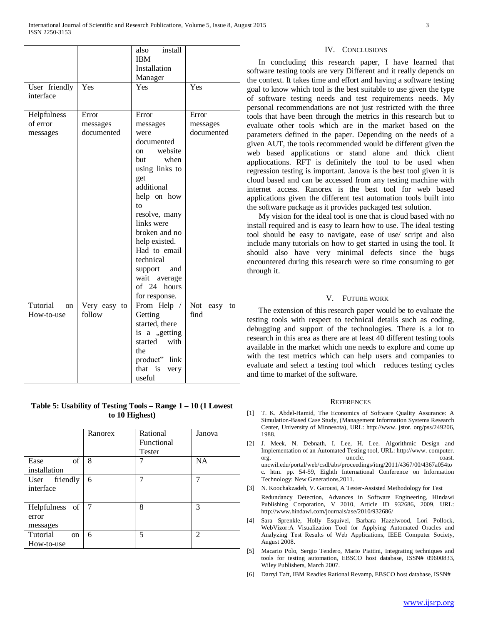| User friendly             | Yes          | install<br>also<br><b>IBM</b><br>Installation<br>Manager<br>Yes | Yes               |
|---------------------------|--------------|-----------------------------------------------------------------|-------------------|
| interface                 |              |                                                                 |                   |
| Helpfulness               | Error        | Error                                                           | Error             |
| of error                  | messages     | messages                                                        | messages          |
| messages                  | documented   | were                                                            | documented        |
|                           |              | documented                                                      |                   |
|                           |              | website<br>on                                                   |                   |
|                           |              | when<br>but                                                     |                   |
|                           |              | using links to                                                  |                   |
|                           |              | get                                                             |                   |
|                           |              | additional                                                      |                   |
|                           |              | help on how                                                     |                   |
|                           |              | to                                                              |                   |
|                           |              | resolve, many                                                   |                   |
|                           |              | links were                                                      |                   |
|                           |              | broken and no                                                   |                   |
|                           |              | help existed.                                                   |                   |
|                           |              | Had to email                                                    |                   |
|                           |              | technical                                                       |                   |
|                           |              | and<br>support                                                  |                   |
|                           |              | wait average                                                    |                   |
|                           |              | of 24 hours                                                     |                   |
|                           |              | for response.                                                   |                   |
| Tutorial<br><sub>on</sub> | Very easy to | From Help /                                                     | Not<br>easy<br>to |
| How-to-use                | follow       | Getting                                                         | find              |
|                           |              | started, there                                                  |                   |
|                           |              | is a "getting                                                   |                   |
|                           |              | started with                                                    |                   |
|                           |              | the                                                             |                   |
|                           |              | product" link                                                   |                   |
|                           |              | that is<br>very                                                 |                   |
|                           |              | useful                                                          |                   |

## **Table 5: Usability of Testing Tools – Range 1 – 10 (1 Lowest to 10 Highest)**

|                                         | Ranorex | Rational<br>Functional<br><b>Tester</b> | Janova         |
|-----------------------------------------|---------|-----------------------------------------|----------------|
| of<br>Ease<br>installation              | 8       |                                         | <b>NA</b>      |
| User friendly<br>interface              | 6       | 7                                       |                |
| Helpfulness of<br>error<br>messages     | 7       | 8                                       | 3              |
| Tutorial<br><sub>on</sub><br>How-to-use | 6       | 5                                       | $\overline{2}$ |

### IV. CONCLUSIONS

 In concluding this research paper, I have learned that software testing tools are very Different and it really depends on the context. It takes time and effort and having a software testing goal to know which tool is the best suitable to use given the type of software testing needs and test requirements needs. My personal recommendations are not just restricted with the three tools that have been through the metrics in this research but to evaluate other tools which are in the market based on the parameters defined in the paper. Depending on the needs of a given AUT, the tools recommended would be different given the web based applications or stand alone and thick client appliocations. RFT is definitely the tool to be used when regression testing is important. Janova is the best tool given it is cloud based and can be accessed from any testing machine with internet access. Ranorex is the best tool for web based applications given the different test automation tools built into the software package as it provides packaged test solution.

 My vision for the ideal tool is one that is cloud based with no install required and is easy to learn how to use. The ideal testing tool should be easy to navigate, ease of use/ script and also include many tutorials on how to get started in using the tool. It should also have very minimal defects since the bugs encountered during this research were so time consuming to get through it.

## V. FUTURE WORK

 The extension of this research paper would be to evaluate the testing tools with respect to technical details such as coding, debugging and support of the technologies. There is a lot to research in this area as there are at least 40 different testing tools available in the market which one needs to explore and come up with the test metrics which can help users and companies to evaluate and select a testing tool which reduces testing cycles and time to market of the software.

#### **REFERENCES**

- [1] T. K. Abdel-Hamid, The Economics of Software Quality Assurance: A Simulation-Based Case Study, (Management Information Systems Research Center, University of Minnesota), URL: http://www. jstor. org/pss/249206, 1988.
- [2] J. Meek, N. Debnath, I. Lee, H. Lee. Algorithmic Design and Implementation of an Automated Testing tool, URL: http://www. computer. org. coast. uncwil.edu/portal/web/csdl/abs/proceedings/itng/2011/4367/00/4367a054to c. htm. pp. 54-59, Eighth International Conference on Information Technology: New Generations,2011.
- [3] N. Koochakzadeh, V. Garousi, A Tester-Assisted Methodology for Test

Redundancy Detection, Advances in Software Engineering, Hindawi Publishing Corporation, V 2010, Article ID 932686, 2009, URL: http://www.hindawi.com/journals/ase/2010/932686/

- [4] Sara Sprenkle, Holly Esquivel, Barbara Hazelwood, Lori Pollock, WebVizor:A Visualization Tool for Applying Automated Oracles and Analyzing Test Results of Web Applications, IEEE Computer Society, August 2008.
- [5] Macario Polo, Sergio Tendero, Mario Piattini, Integrating techniques and tools for testing automation, EBSCO host database, ISSN# 09600833, Wiley Publishers, March 2007.
- [6] Darryl Taft, IBM Readies Rational Revamp, EBSCO host database, ISSN#